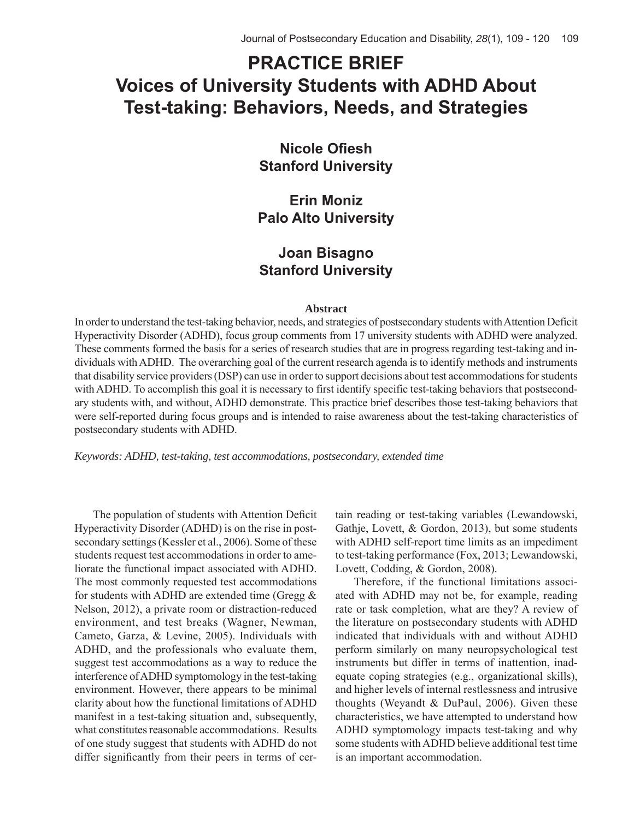# **PRACTICE BRIEF Voices of University Students with ADHD About Test-taking: Behaviors, Needs, and Strategies**

**Nicole Ofiesh Stanford University**

**Erin Moniz Palo Alto University**

### **Joan Bisagno Stanford University**

#### **Abstract**

In order to understand the test-taking behavior, needs, and strategies of postsecondary students with Attention Deficit Hyperactivity Disorder (ADHD), focus group comments from 17 university students with ADHD were analyzed. These comments formed the basis for a series of research studies that are in progress regarding test-taking and individuals with ADHD. The overarching goal of the current research agenda is to identify methods and instruments that disability service providers (DSP) can use in order to support decisions about test accommodations for students with ADHD. To accomplish this goal it is necessary to first identify specific test-taking behaviors that postsecondary students with, and without, ADHD demonstrate. This practice brief describes those test-taking behaviors that were self-reported during focus groups and is intended to raise awareness about the test-taking characteristics of postsecondary students with ADHD.

*Keywords: ADHD, test-taking, test accommodations, postsecondary, extended time*

The population of students with Attention Deficit Hyperactivity Disorder (ADHD) is on the rise in postsecondary settings (Kessler et al., 2006). Some of these students request test accommodations in order to ameliorate the functional impact associated with ADHD. The most commonly requested test accommodations for students with ADHD are extended time (Gregg  $\&$ Nelson, 2012), a private room or distraction-reduced environment, and test breaks (Wagner, Newman, Cameto, Garza, & Levine, 2005). Individuals with ADHD, and the professionals who evaluate them, suggest test accommodations as a way to reduce the interference of ADHD symptomology in the test-taking environment. However, there appears to be minimal clarity about how the functional limitations of ADHD manifest in a test-taking situation and, subsequently, what constitutes reasonable accommodations. Results of one study suggest that students with ADHD do not differ significantly from their peers in terms of certain reading or test-taking variables (Lewandowski, Gathje, Lovett, & Gordon, 2013), but some students with ADHD self-report time limits as an impediment to test-taking performance (Fox, 2013; Lewandowski, Lovett, Codding, & Gordon, 2008).

Therefore, if the functional limitations associated with ADHD may not be, for example, reading rate or task completion, what are they? A review of the literature on postsecondary students with ADHD indicated that individuals with and without ADHD perform similarly on many neuropsychological test instruments but differ in terms of inattention, inadequate coping strategies (e.g., organizational skills), and higher levels of internal restlessness and intrusive thoughts (Weyandt & DuPaul, 2006). Given these characteristics, we have attempted to understand how ADHD symptomology impacts test-taking and why some students with ADHD believe additional test time is an important accommodation.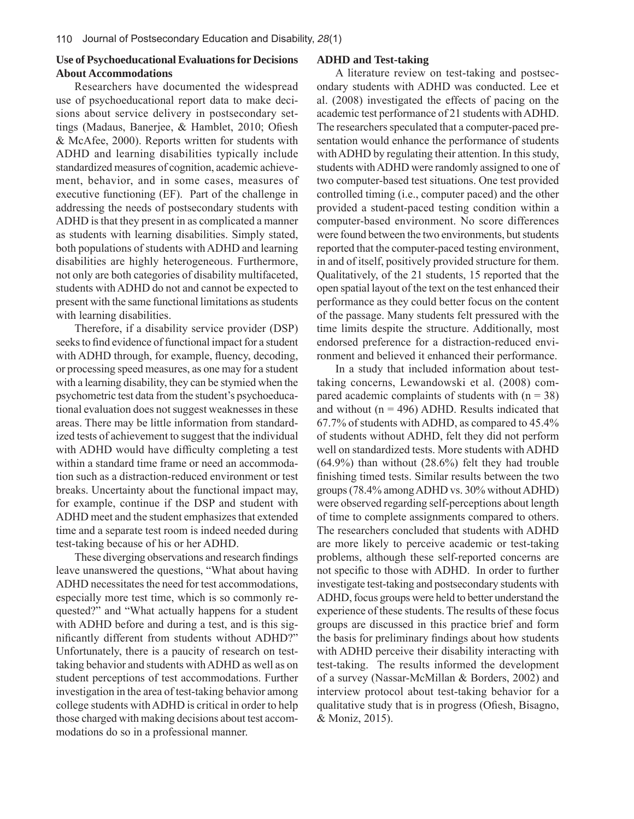### **Use of Psychoeducational Evaluations for Decisions About Accommodations**

Researchers have documented the widespread use of psychoeducational report data to make decisions about service delivery in postsecondary settings (Madaus, Banerjee, & Hamblet, 2010; Ofiesh & McAfee, 2000). Reports written for students with ADHD and learning disabilities typically include standardized measures of cognition, academic achievement, behavior, and in some cases, measures of executive functioning (EF). Part of the challenge in addressing the needs of postsecondary students with ADHD is that they present in as complicated a manner as students with learning disabilities. Simply stated, both populations of students with ADHD and learning disabilities are highly heterogeneous. Furthermore, not only are both categories of disability multifaceted, students with ADHD do not and cannot be expected to present with the same functional limitations as students with learning disabilities.

Therefore, if a disability service provider (DSP) seeks to find evidence of functional impact for a student with ADHD through, for example, fluency, decoding, or processing speed measures, as one may for a student with a learning disability, they can be stymied when the psychometric test data from the student's psychoeducational evaluation does not suggest weaknesses in these areas. There may be little information from standardized tests of achievement to suggest that the individual with ADHD would have difficulty completing a test within a standard time frame or need an accommodation such as a distraction-reduced environment or test breaks. Uncertainty about the functional impact may, for example, continue if the DSP and student with ADHD meet and the student emphasizes that extended time and a separate test room is indeed needed during test-taking because of his or her ADHD.

These diverging observations and research findings leave unanswered the questions, "What about having ADHD necessitates the need for test accommodations, especially more test time, which is so commonly requested?" and "What actually happens for a student with ADHD before and during a test, and is this significantly different from students without ADHD?" Unfortunately, there is a paucity of research on testtaking behavior and students with ADHD as well as on student perceptions of test accommodations. Further investigation in the area of test-taking behavior among college students with ADHD is critical in order to help those charged with making decisions about test accommodations do so in a professional manner.

#### **ADHD and Test-taking**

A literature review on test-taking and postsecondary students with ADHD was conducted. Lee et al. (2008) investigated the effects of pacing on the academic test performance of 21 students with ADHD. The researchers speculated that a computer-paced presentation would enhance the performance of students with ADHD by regulating their attention. In this study, students with ADHD were randomly assigned to one of two computer-based test situations. One test provided controlled timing (i.e., computer paced) and the other provided a student-paced testing condition within a computer-based environment. No score differences were found between the two environments, but students reported that the computer-paced testing environment, in and of itself, positively provided structure for them. Qualitatively, of the 21 students, 15 reported that the open spatial layout of the text on the test enhanced their performance as they could better focus on the content of the passage. Many students felt pressured with the time limits despite the structure. Additionally, most endorsed preference for a distraction-reduced environment and believed it enhanced their performance.

In a study that included information about testtaking concerns, Lewandowski et al. (2008) compared academic complaints of students with  $(n = 38)$ and without  $(n = 496)$  ADHD. Results indicated that 67.7% of students with ADHD, as compared to 45.4% of students without ADHD, felt they did not perform well on standardized tests. More students with ADHD (64.9%) than without (28.6%) felt they had trouble finishing timed tests. Similar results between the two groups (78.4% among ADHD vs. 30% without ADHD) were observed regarding self-perceptions about length of time to complete assignments compared to others. The researchers concluded that students with ADHD are more likely to perceive academic or test-taking problems, although these self-reported concerns are not specific to those with ADHD. In order to further investigate test-taking and postsecondary students with ADHD, focus groups were held to better understand the experience of these students. The results of these focus groups are discussed in this practice brief and form the basis for preliminary findings about how students with ADHD perceive their disability interacting with test-taking. The results informed the development of a survey (Nassar-McMillan & Borders, 2002) and interview protocol about test-taking behavior for a qualitative study that is in progress (Ofiesh, Bisagno, & Moniz, 2015).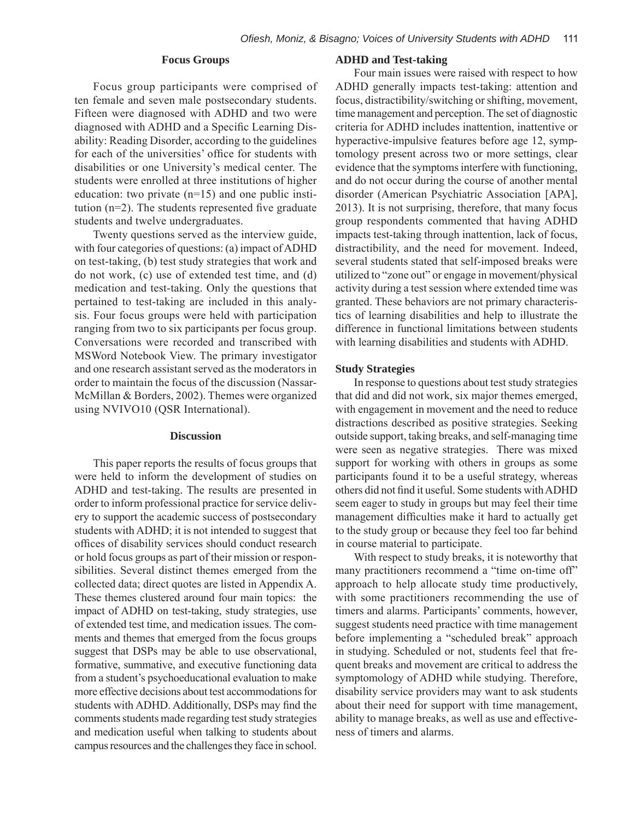#### **Focus Groups**

Focus group participants were comprised of ten female and seven male postsecondary students. Fifteen were diagnosed with ADHD and two were diagnosed with ADHD and a Specific Learning Disability: Reading Disorder, according to the guidelines for each of the universities' office for students with disabilities or one University's medical center. The students were enrolled at three institutions of higher education: two private  $(n=15)$  and one public institution  $(n=2)$ . The students represented five graduate students and twelve undergraduates.

Twenty questions served as the interview guide, with four categories of questions: (a) impact of ADHD on test-taking, (b) test study strategies that work and do not work, (c) use of extended test time, and (d) medication and test-taking. Only the questions that pertained to test-taking are included in this analysis. Four focus groups were held with participation ranging from two to six participants per focus group. Conversations were recorded and transcribed with MSWord Notebook View. The primary investigator and one research assistant served as the moderators in order to maintain the focus of the discussion (Nassar-McMillan & Borders, 2002). Themes were organized using NVIVO10 (QSR International).

#### **Discussion**

This paper reports the results of focus groups that were held to inform the development of studies on ADHD and test-taking. The results are presented in order to inform professional practice for service delivery to support the academic success of postsecondary students with ADHD; it is not intended to suggest that offices of disability services should conduct research or hold focus groups as part of their mission or responsibilities. Several distinct themes emerged from the collected data; direct quotes are listed in Appendix A. These themes clustered around four main topics: the impact of ADHD on test-taking, study strategies, use of extended test time, and medication issues. The comments and themes that emerged from the focus groups suggest that DSPs may be able to use observational, formative, summative, and executive functioning data from a student's psychoeducational evaluation to make more effective decisions about test accommodations for students with ADHD. Additionally, DSPs may find the comments students made regarding test study strategies and medication useful when talking to students about campus resources and the challenges they face in school.

#### **ADHD and Test-taking**

Four main issues were raised with respect to how ADHD generally impacts test-taking: attention and focus, distractibility/switching or shifting, movement, time management and perception. The set of diagnostic criteria for ADHD includes inattention, inattentive or hyperactive-impulsive features before age 12, symptomology present across two or more settings, clear evidence that the symptoms interfere with functioning, and do not occur during the course of another mental disorder (American Psychiatric Association [APA], 2013). It is not surprising, therefore, that many focus group respondents commented that having ADHD impacts test-taking through inattention, lack of focus, distractibility, and the need for movement. Indeed, several students stated that self-imposed breaks were utilized to "zone out" or engage in movement/physical activity during a test session where extended time was granted. These behaviors are not primary characteristics of learning disabilities and help to illustrate the difference in functional limitations between students with learning disabilities and students with ADHD.

#### **Study Strategies**

In response to questions about test study strategies that did and did not work, six major themes emerged, with engagement in movement and the need to reduce distractions described as positive strategies. Seeking outside support, taking breaks, and self-managing time were seen as negative strategies. There was mixed support for working with others in groups as some participants found it to be a useful strategy, whereas others did not find it useful. Some students with ADHD seem eager to study in groups but may feel their time management difficulties make it hard to actually get to the study group or because they feel too far behind in course material to participate.

With respect to study breaks, it is noteworthy that many practitioners recommend a "time on-time off" approach to help allocate study time productively, with some practitioners recommending the use of timers and alarms. Participants' comments, however, suggest students need practice with time management before implementing a "scheduled break" approach in studying. Scheduled or not, students feel that frequent breaks and movement are critical to address the symptomology of ADHD while studying. Therefore, disability service providers may want to ask students about their need for support with time management, ability to manage breaks, as well as use and effectiveness of timers and alarms.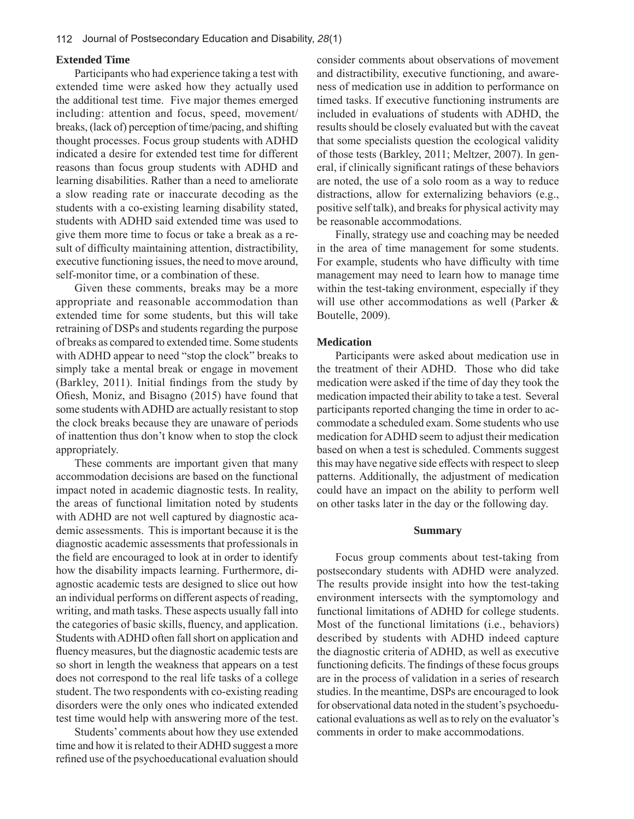#### **Extended Time**

Participants who had experience taking a test with extended time were asked how they actually used the additional test time. Five major themes emerged including: attention and focus, speed, movement/ breaks, (lack of) perception of time/pacing, and shifting thought processes. Focus group students with ADHD indicated a desire for extended test time for different reasons than focus group students with ADHD and learning disabilities. Rather than a need to ameliorate a slow reading rate or inaccurate decoding as the students with a co-existing learning disability stated, students with ADHD said extended time was used to give them more time to focus or take a break as a result of difficulty maintaining attention, distractibility, executive functioning issues, the need to move around, self-monitor time, or a combination of these.

Given these comments, breaks may be a more appropriate and reasonable accommodation than extended time for some students, but this will take retraining of DSPs and students regarding the purpose of breaks as compared to extended time. Some students with ADHD appear to need "stop the clock" breaks to simply take a mental break or engage in movement  $(Barkley, 2011)$ . Initial findings from the study by Ofiesh, Moniz, and Bisagno  $(2015)$  have found that some students with ADHD are actually resistant to stop the clock breaks because they are unaware of periods of inattention thus don't know when to stop the clock appropriately.

These comments are important given that many accommodation decisions are based on the functional impact noted in academic diagnostic tests. In reality, the areas of functional limitation noted by students with ADHD are not well captured by diagnostic academic assessments. This is important because it is the diagnostic academic assessments that professionals in the field are encouraged to look at in order to identify how the disability impacts learning. Furthermore, diagnostic academic tests are designed to slice out how an individual performs on different aspects of reading, writing, and math tasks. These aspects usually fall into the categories of basic skills, fluency, and application. Students with ADHD often fall short on application and fluency measures, but the diagnostic academic tests are so short in length the weakness that appears on a test does not correspond to the real life tasks of a college student. The two respondents with co-existing reading disorders were the only ones who indicated extended test time would help with answering more of the test.

Students' comments about how they use extended time and how it is related to their ADHD suggest a more refined use of the psychoeducational evaluation should consider comments about observations of movement and distractibility, executive functioning, and awareness of medication use in addition to performance on timed tasks. If executive functioning instruments are included in evaluations of students with ADHD, the results should be closely evaluated but with the caveat that some specialists question the ecological validity of those tests (Barkley, 2011; Meltzer, 2007). In general, if clinically significant ratings of these behaviors are noted, the use of a solo room as a way to reduce distractions, allow for externalizing behaviors (e.g., positive self talk), and breaks for physical activity may be reasonable accommodations.

Finally, strategy use and coaching may be needed in the area of time management for some students. For example, students who have difficulty with time management may need to learn how to manage time within the test-taking environment, especially if they will use other accommodations as well (Parker & Boutelle, 2009).

#### **Medication**

Participants were asked about medication use in the treatment of their ADHD. Those who did take medication were asked if the time of day they took the medication impacted their ability to take a test. Several participants reported changing the time in order to accommodate a scheduled exam. Some students who use medication for ADHD seem to adjust their medication based on when a test is scheduled. Comments suggest this may have negative side effects with respect to sleep patterns. Additionally, the adjustment of medication could have an impact on the ability to perform well on other tasks later in the day or the following day.

#### **Summary**

Focus group comments about test-taking from postsecondary students with ADHD were analyzed. The results provide insight into how the test-taking environment intersects with the symptomology and functional limitations of ADHD for college students. Most of the functional limitations (i.e., behaviors) described by students with ADHD indeed capture the diagnostic criteria of ADHD, as well as executive functioning deficits. The findings of these focus groups are in the process of validation in a series of research studies. In the meantime, DSPs are encouraged to look for observational data noted in the student's psychoeducational evaluations as well as to rely on the evaluator's comments in order to make accommodations.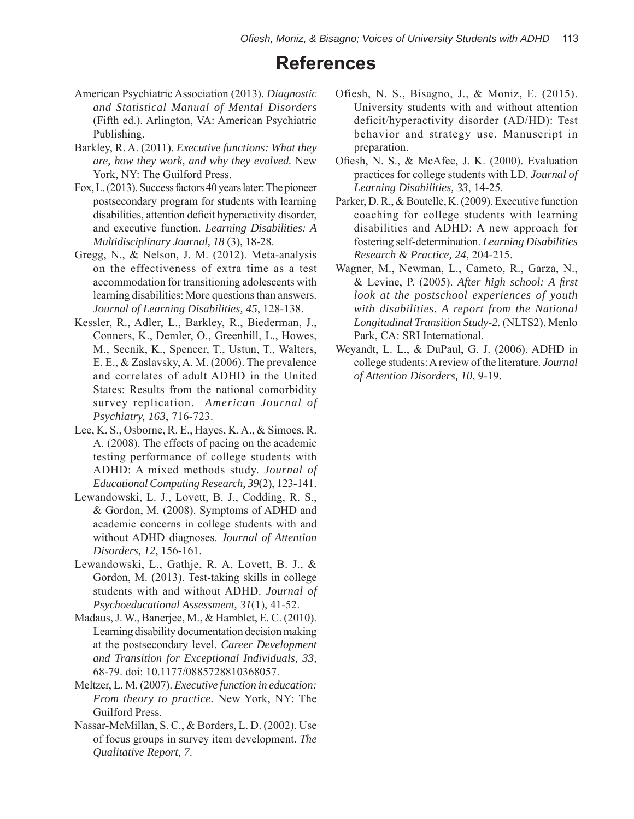### **References**

- American Psychiatric Association (2013). *Diagnostic and Statistical Manual of Mental Disorders*  (Fifth ed.). Arlington, VA: American Psychiatric Publishing.
- Barkley, R. A. (2011). *Executive functions: What they are, how they work, and why they evolved.* New York, NY: The Guilford Press.
- Fox, L. (2013). Success factors 40 years later: The pioneer postsecondary program for students with learning disabilities, attention deficit hyperactivity disorder, and executive function. *Learning Disabilities: A Multidisciplinary Journal, 18* (3), 18-28.
- Gregg, N., & Nelson, J. M. (2012). Meta-analysis on the effectiveness of extra time as a test accommodation for transitioning adolescents with learning disabilities: More questions than answers. *Journal of Learning Disabilities, 45*, 128-138.
- Kessler, R., Adler, L., Barkley, R., Biederman, J., Conners, K., Demler, O., Greenhill, L., Howes, M., Secnik, K., Spencer, T., Ustun, T., Walters, E. E., & Zaslavsky, A. M. (2006). The prevalence and correlates of adult ADHD in the United States: Results from the national comorbidity survey replication. *American Journal of Psychiatry, 163*, 716-723.
- Lee, K. S., Osborne, R. E., Hayes, K. A., & Simoes, R. A. (2008). The effects of pacing on the academic testing performance of college students with ADHD: A mixed methods study. *Journal of Educational Computing Research, 39*(2), 123-141.
- Lewandowski, L. J., Lovett, B. J., Codding, R. S., & Gordon, M. (2008). Symptoms of ADHD and academic concerns in college students with and without ADHD diagnoses. *Journal of Attention Disorders, 12*, 156-161.
- Lewandowski, L., Gathje, R. A, Lovett, B. J., & Gordon, M. (2013). Test-taking skills in college students with and without ADHD. *Journal of Psychoeducational Assessment, 31*(1), 41-52.
- Madaus, J. W., Banerjee, M., & Hamblet, E. C. (2010). Learning disability documentation decision making at the postsecondary level. *Career Development and Transition for Exceptional Individuals, 33,*  68-79. doi: 10.1177/0885728810368057.
- Meltzer, L. M. (2007). *Executive function in education: From theory to practice.* New York, NY: The Guilford Press.
- Nassar-McMillan, S. C., & Borders, L. D. (2002). Use of focus groups in survey item development. *The Qualitative Report, 7*.
- Ofiesh, N. S., Bisagno, J., & Moniz, E. (2015). University students with and without attention deficit/hyperactivity disorder (AD/HD): Test behavior and strategy use. Manuscript in preparation.
- Ofiesh, N. S., & McAfee, J. K. (2000). Evaluation practices for college students with LD. *Journal of Learning Disabilities, 33*, 14-25.
- Parker, D. R., & Boutelle, K. (2009). Executive function coaching for college students with learning disabilities and ADHD: A new approach for fostering self-determination. *Learning Disabilities Research & Practice, 24*, 204-215.
- Wagner, M., Newman, L., Cameto, R., Garza, N., & Levine, P. (2005). *After high school: A first look at the postschool experiences of youth with disabilities. A report from the National Longitudinal Transition Study-2.* (NLTS2). Menlo Park, CA: SRI International.
- Weyandt, L. L., & DuPaul, G. J. (2006). ADHD in college students: A review of the literature. *Journal of Attention Disorders, 10*, 9-19.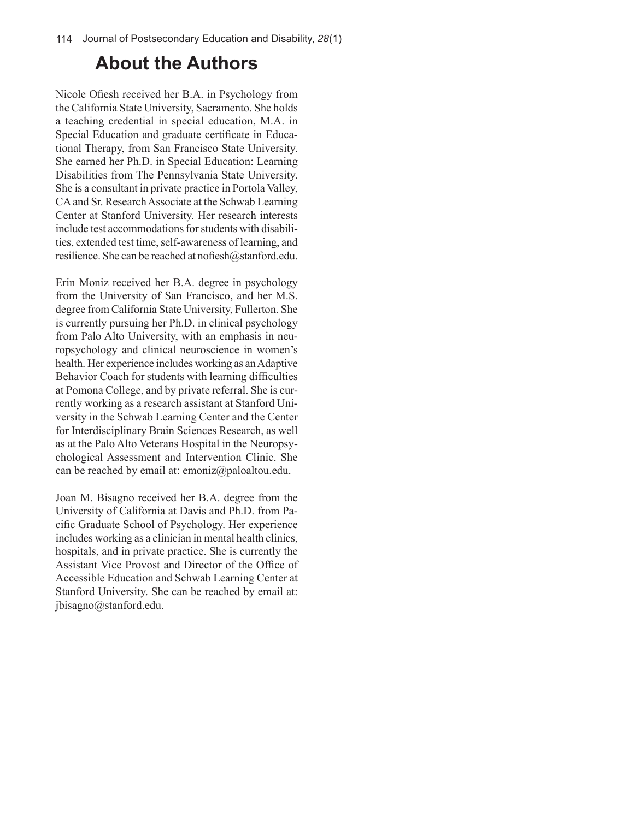# **About the Authors**

Nicole Ofiesh received her B.A. in Psychology from the California State University, Sacramento. She holds a teaching credential in special education, M.A. in Special Education and graduate certificate in Educational Therapy, from San Francisco State University. She earned her Ph.D. in Special Education: Learning Disabilities from The Pennsylvania State University. She is a consultant in private practice in Portola Valley, CA and Sr. Research Associate at the Schwab Learning Center at Stanford University. Her research interests include test accommodations for students with disabilities, extended test time, self-awareness of learning, and resilience. She can be reached at nofiesh@stanford.edu.

Erin Moniz received her B.A. degree in psychology from the University of San Francisco, and her M.S. degree from California State University, Fullerton. She is currently pursuing her Ph.D. in clinical psychology from Palo Alto University, with an emphasis in neuropsychology and clinical neuroscience in women's health. Her experience includes working as an Adaptive Behavior Coach for students with learning difficulties at Pomona College, and by private referral. She is currently working as a research assistant at Stanford University in the Schwab Learning Center and the Center for Interdisciplinary Brain Sciences Research, as well as at the Palo Alto Veterans Hospital in the Neuropsychological Assessment and Intervention Clinic. She can be reached by email at: emoniz@paloaltou.edu.

Joan M. Bisagno received her B.A. degree from the University of California at Davis and Ph.D. from Pacific Graduate School of Psychology. Her experience includes working as a clinician in mental health clinics, hospitals, and in private practice. She is currently the Assistant Vice Provost and Director of the Office of Accessible Education and Schwab Learning Center at Stanford University. She can be reached by email at: jbisagno@stanford.edu.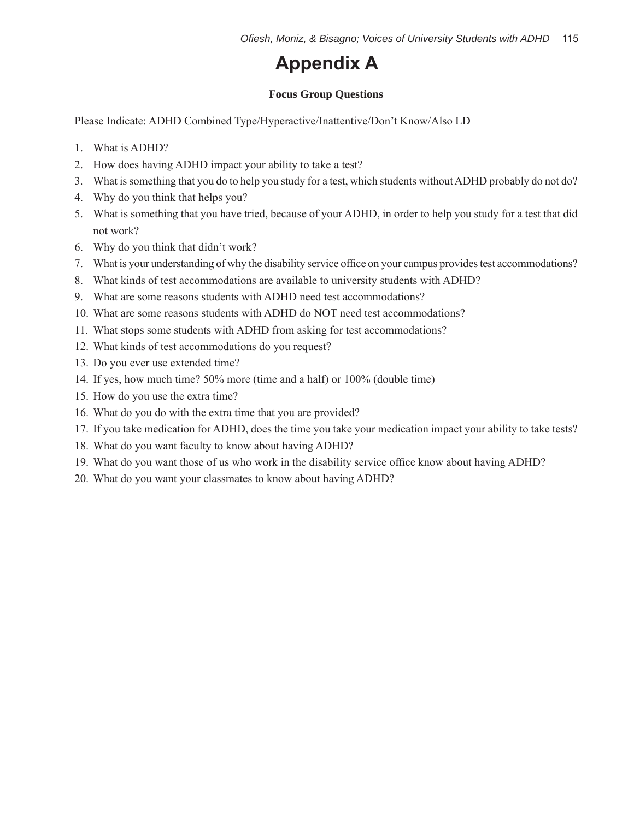## **Appendix A**

### **Focus Group Questions**

Please Indicate: ADHD Combined Type/Hyperactive/Inattentive/Don't Know/Also LD

- 1. What is ADHD?
- 2. How does having ADHD impact your ability to take a test?
- 3. What is something that you do to help you study for a test, which students without ADHD probably do not do?
- 4. Why do you think that helps you?
- 5. What is something that you have tried, because of your ADHD, in order to help you study for a test that did not work?
- 6. Why do you think that didn't work?
- 7. What is your understanding of why the disability service office on your campus provides test accommodations?
- 8. What kinds of test accommodations are available to university students with ADHD?
- 9. What are some reasons students with ADHD need test accommodations?
- 10. What are some reasons students with ADHD do NOT need test accommodations?
- 11. What stops some students with ADHD from asking for test accommodations?
- 12. What kinds of test accommodations do you request?
- 13. Do you ever use extended time?
- 14. If yes, how much time? 50% more (time and a half) or 100% (double time)
- 15. How do you use the extra time?
- 16. What do you do with the extra time that you are provided?
- 17. If you take medication for ADHD, does the time you take your medication impact your ability to take tests?
- 18. What do you want faculty to know about having ADHD?
- 19. What do you want those of us who work in the disability service office know about having ADHD?
- 20. What do you want your classmates to know about having ADHD?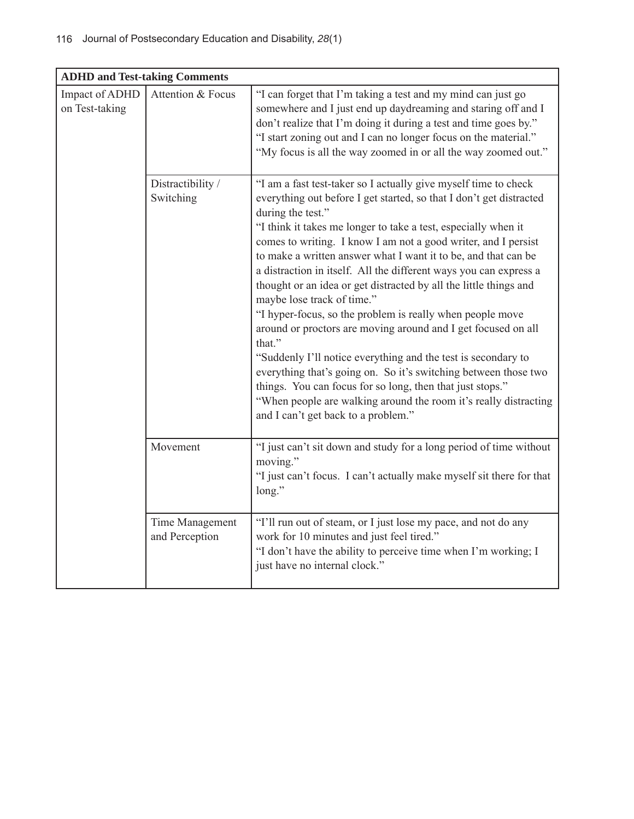| <b>ADHD and Test-taking Comments</b> |                                   |                                                                                                                                                                                                                                                                                                                                                                                                                                                                                                                                                                                                                                                                                                                                                                                                                                                                                                                                                                                               |  |  |
|--------------------------------------|-----------------------------------|-----------------------------------------------------------------------------------------------------------------------------------------------------------------------------------------------------------------------------------------------------------------------------------------------------------------------------------------------------------------------------------------------------------------------------------------------------------------------------------------------------------------------------------------------------------------------------------------------------------------------------------------------------------------------------------------------------------------------------------------------------------------------------------------------------------------------------------------------------------------------------------------------------------------------------------------------------------------------------------------------|--|--|
| Impact of ADHD<br>on Test-taking     | Attention & Focus                 | "I can forget that I'm taking a test and my mind can just go<br>somewhere and I just end up daydreaming and staring off and I<br>don't realize that I'm doing it during a test and time goes by."<br>"I start zoning out and I can no longer focus on the material."<br>"My focus is all the way zoomed in or all the way zoomed out."                                                                                                                                                                                                                                                                                                                                                                                                                                                                                                                                                                                                                                                        |  |  |
|                                      | Distractibility /<br>Switching    | "I am a fast test-taker so I actually give myself time to check<br>everything out before I get started, so that I don't get distracted<br>during the test."<br>"I think it takes me longer to take a test, especially when it<br>comes to writing. I know I am not a good writer, and I persist<br>to make a written answer what I want it to be, and that can be<br>a distraction in itself. All the different ways you can express a<br>thought or an idea or get distracted by all the little things and<br>maybe lose track of time."<br>"I hyper-focus, so the problem is really when people move<br>around or proctors are moving around and I get focused on all<br>that."<br>"Suddenly I'll notice everything and the test is secondary to<br>everything that's going on. So it's switching between those two<br>things. You can focus for so long, then that just stops."<br>"When people are walking around the room it's really distracting<br>and I can't get back to a problem." |  |  |
|                                      | Movement                          | "I just can't sit down and study for a long period of time without<br>moving."<br>"I just can't focus. I can't actually make myself sit there for that<br>long."                                                                                                                                                                                                                                                                                                                                                                                                                                                                                                                                                                                                                                                                                                                                                                                                                              |  |  |
|                                      | Time Management<br>and Perception | "I'll run out of steam, or I just lose my pace, and not do any<br>work for 10 minutes and just feel tired."<br>"I don't have the ability to perceive time when I'm working; I<br>just have no internal clock."                                                                                                                                                                                                                                                                                                                                                                                                                                                                                                                                                                                                                                                                                                                                                                                |  |  |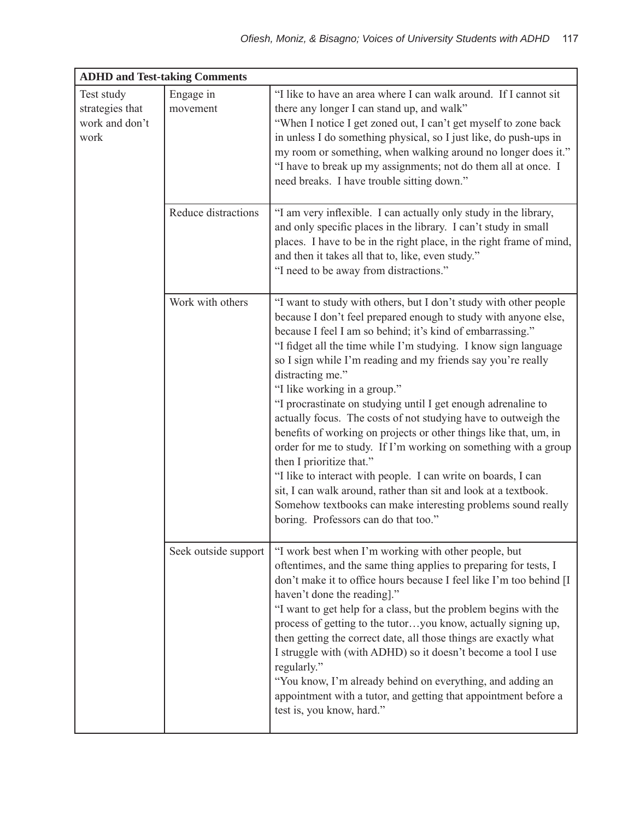| <b>ADHD and Test-taking Comments</b>                    |                       |                                                                                                                                                                                                                                                                                                                                                                                                                                                                                                                                                                                                                                                                                                                                                                                                                                                                                                                                              |  |  |
|---------------------------------------------------------|-----------------------|----------------------------------------------------------------------------------------------------------------------------------------------------------------------------------------------------------------------------------------------------------------------------------------------------------------------------------------------------------------------------------------------------------------------------------------------------------------------------------------------------------------------------------------------------------------------------------------------------------------------------------------------------------------------------------------------------------------------------------------------------------------------------------------------------------------------------------------------------------------------------------------------------------------------------------------------|--|--|
| Test study<br>strategies that<br>work and don't<br>work | Engage in<br>movement | "I like to have an area where I can walk around. If I cannot sit<br>there any longer I can stand up, and walk"<br>"When I notice I get zoned out, I can't get myself to zone back<br>in unless I do something physical, so I just like, do push-ups in<br>my room or something, when walking around no longer does it."<br>"I have to break up my assignments; not do them all at once. I<br>need breaks. I have trouble sitting down."                                                                                                                                                                                                                                                                                                                                                                                                                                                                                                      |  |  |
|                                                         | Reduce distractions   | "I am very inflexible. I can actually only study in the library,<br>and only specific places in the library. I can't study in small<br>places. I have to be in the right place, in the right frame of mind,<br>and then it takes all that to, like, even study."<br>"I need to be away from distractions."                                                                                                                                                                                                                                                                                                                                                                                                                                                                                                                                                                                                                                   |  |  |
|                                                         | Work with others      | "I want to study with others, but I don't study with other people<br>because I don't feel prepared enough to study with anyone else,<br>because I feel I am so behind; it's kind of embarrassing."<br>"I fidget all the time while I'm studying. I know sign language<br>so I sign while I'm reading and my friends say you're really<br>distracting me."<br>"I like working in a group."<br>"I procrastinate on studying until I get enough adrenaline to<br>actually focus. The costs of not studying have to outweigh the<br>benefits of working on projects or other things like that, um, in<br>order for me to study. If I'm working on something with a group<br>then I prioritize that."<br>"I like to interact with people. I can write on boards, I can<br>sit, I can walk around, rather than sit and look at a textbook.<br>Somehow textbooks can make interesting problems sound really<br>boring. Professors can do that too." |  |  |
|                                                         | Seek outside support  | "I work best when I'm working with other people, but<br>oftentimes, and the same thing applies to preparing for tests, I<br>don't make it to office hours because I feel like I'm too behind [I<br>haven't done the reading]."<br>"I want to get help for a class, but the problem begins with the<br>process of getting to the tutoryou know, actually signing up,<br>then getting the correct date, all those things are exactly what<br>I struggle with (with ADHD) so it doesn't become a tool I use<br>regularly."<br>"You know, I'm already behind on everything, and adding an<br>appointment with a tutor, and getting that appointment before a<br>test is, you know, hard."                                                                                                                                                                                                                                                        |  |  |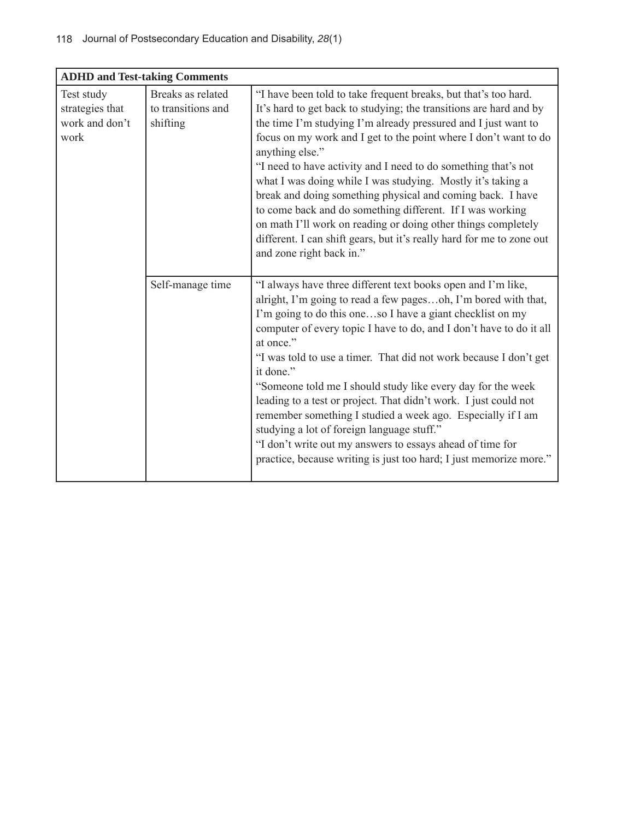| <b>ADHD and Test-taking Comments</b>                    |                                                     |                                                                                                                                                                                                                                                                                                                                                                                                                                                                                                                                                                                                                                                                                                                                                      |  |  |
|---------------------------------------------------------|-----------------------------------------------------|------------------------------------------------------------------------------------------------------------------------------------------------------------------------------------------------------------------------------------------------------------------------------------------------------------------------------------------------------------------------------------------------------------------------------------------------------------------------------------------------------------------------------------------------------------------------------------------------------------------------------------------------------------------------------------------------------------------------------------------------------|--|--|
| Test study<br>strategies that<br>work and don't<br>work | Breaks as related<br>to transitions and<br>shifting | "I have been told to take frequent breaks, but that's too hard.<br>It's hard to get back to studying; the transitions are hard and by<br>the time I'm studying I'm already pressured and I just want to<br>focus on my work and I get to the point where I don't want to do<br>anything else."<br>"I need to have activity and I need to do something that's not<br>what I was doing while I was studying. Mostly it's taking a<br>break and doing something physical and coming back. I have<br>to come back and do something different. If I was working<br>on math I'll work on reading or doing other things completely<br>different. I can shift gears, but it's really hard for me to zone out<br>and zone right back in."                     |  |  |
|                                                         | Self-manage time                                    | "I always have three different text books open and I'm like,<br>alright, I'm going to read a few pagesoh, I'm bored with that,<br>I'm going to do this oneso I have a giant checklist on my<br>computer of every topic I have to do, and I don't have to do it all<br>at once."<br>"I was told to use a timer. That did not work because I don't get<br>it done."<br>"Someone told me I should study like every day for the week<br>leading to a test or project. That didn't work. I just could not<br>remember something I studied a week ago. Especially if I am<br>studying a lot of foreign language stuff."<br>"I don't write out my answers to essays ahead of time for<br>practice, because writing is just too hard; I just memorize more." |  |  |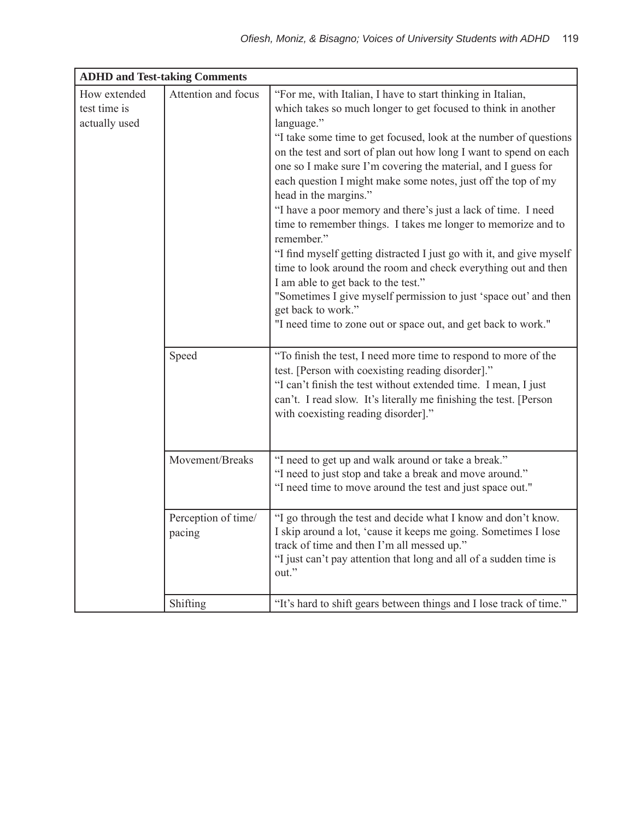| <b>ADHD and Test-taking Comments</b>          |                               |                                                                                                                                                                                                                                                                                                                                                                                                                                                                                                                                                                                                                                                                                                                                                                                                                                                                                                                                             |  |  |
|-----------------------------------------------|-------------------------------|---------------------------------------------------------------------------------------------------------------------------------------------------------------------------------------------------------------------------------------------------------------------------------------------------------------------------------------------------------------------------------------------------------------------------------------------------------------------------------------------------------------------------------------------------------------------------------------------------------------------------------------------------------------------------------------------------------------------------------------------------------------------------------------------------------------------------------------------------------------------------------------------------------------------------------------------|--|--|
| How extended<br>test time is<br>actually used | Attention and focus           | "For me, with Italian, I have to start thinking in Italian,<br>which takes so much longer to get focused to think in another<br>language."<br>"I take some time to get focused, look at the number of questions<br>on the test and sort of plan out how long I want to spend on each<br>one so I make sure I'm covering the material, and I guess for<br>each question I might make some notes, just off the top of my<br>head in the margins."<br>"I have a poor memory and there's just a lack of time. I need<br>time to remember things. I takes me longer to memorize and to<br>remember."<br>"I find myself getting distracted I just go with it, and give myself<br>time to look around the room and check everything out and then<br>I am able to get back to the test."<br>"Sometimes I give myself permission to just 'space out' and then<br>get back to work."<br>"I need time to zone out or space out, and get back to work." |  |  |
|                                               | Speed                         | "To finish the test, I need more time to respond to more of the<br>test. [Person with coexisting reading disorder]."<br>"I can't finish the test without extended time. I mean, I just<br>can't. I read slow. It's literally me finishing the test. [Person]<br>with coexisting reading disorder]."                                                                                                                                                                                                                                                                                                                                                                                                                                                                                                                                                                                                                                         |  |  |
|                                               | Movement/Breaks               | "I need to get up and walk around or take a break."<br>"I need to just stop and take a break and move around."<br>"I need time to move around the test and just space out."                                                                                                                                                                                                                                                                                                                                                                                                                                                                                                                                                                                                                                                                                                                                                                 |  |  |
|                                               | Perception of time/<br>pacing | "I go through the test and decide what I know and don't know.<br>I skip around a lot, 'cause it keeps me going. Sometimes I lose<br>track of time and then I'm all messed up."<br>"I just can't pay attention that long and all of a sudden time is<br>out."                                                                                                                                                                                                                                                                                                                                                                                                                                                                                                                                                                                                                                                                                |  |  |
|                                               | Shifting                      | "It's hard to shift gears between things and I lose track of time."                                                                                                                                                                                                                                                                                                                                                                                                                                                                                                                                                                                                                                                                                                                                                                                                                                                                         |  |  |